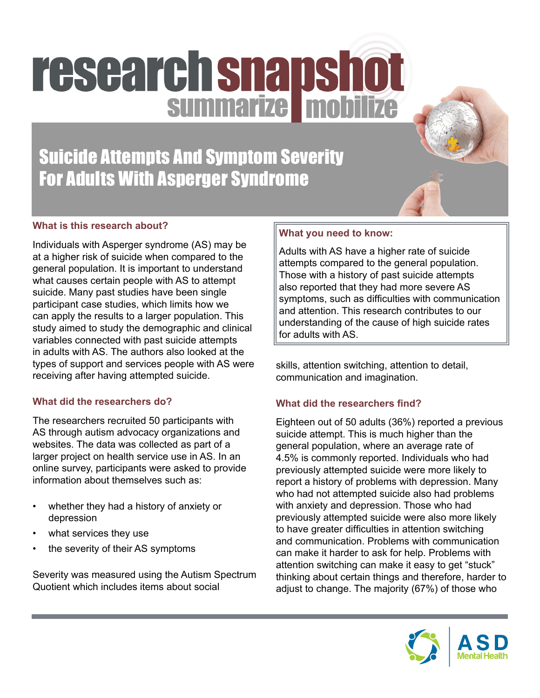# research snapshot

Suicide Attempts And Symptom Severity For Adults With Asperger Syndrome

# **What is this research about?**

Individuals with Asperger syndrome (AS) may be at a higher risk of suicide when compared to the general population. It is important to understand what causes certain people with AS to attempt suicide. Many past studies have been single participant case studies, which limits how we can apply the results to a larger population. This study aimed to study the demographic and clinical variables connected with past suicide attempts in adults with AS. The authors also looked at the types of support and services people with AS were receiving after having attempted suicide.

#### **What did the researchers do?**

The researchers recruited 50 participants with AS through autism advocacy organizations and websites. The data was collected as part of a larger project on health service use in AS. In an online survey, participants were asked to provide information about themselves such as:

- whether they had a history of anxiety or depression
- what services they use
- the severity of their AS symptoms

Severity was measured using the Autism Spectrum Quotient which includes items about social

# **What you need to know:**

Adults with AS have a higher rate of suicide attempts compared to the general population. Those with a history of past suicide attempts also reported that they had more severe AS symptoms, such as difficulties with communication and attention. This research contributes to our understanding of the cause of high suicide rates for adults with AS.

skills, attention switching, attention to detail, communication and imagination.

# **What did the researchers find?**

Eighteen out of 50 adults (36%) reported a previous suicide attempt. This is much higher than the general population, where an average rate of 4.5% is commonly reported. Individuals who had previously attempted suicide were more likely to report a history of problems with depression. Many who had not attempted suicide also had problems with anxiety and depression. Those who had previously attempted suicide were also more likely to have greater difficulties in attention switching and communication. Problems with communication can make it harder to ask for help. Problems with attention switching can make it easy to get "stuck" thinking about certain things and therefore, harder to adjust to change. The majority (67%) of those who